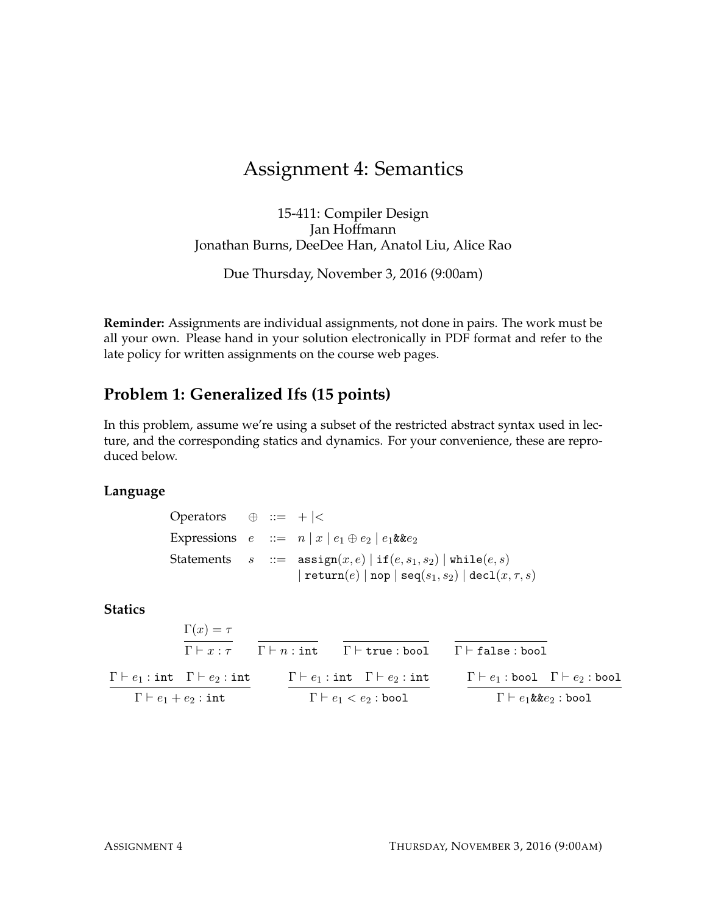# Assignment 4: Semantics

15-411: Compiler Design Jan Hoffmann Jonathan Burns, DeeDee Han, Anatol Liu, Alice Rao

Due Thursday, November 3, 2016 (9:00am)

**Reminder:** Assignments are individual assignments, not done in pairs. The work must be all your own. Please hand in your solution electronically in PDF format and refer to the late policy for written assignments on the course web pages.

## **Problem 1: Generalized Ifs (15 points)**

In this problem, assume we're using a subset of the restricted abstract syntax used in lecture, and the corresponding statics and dynamics. For your convenience, these are reproduced below.

#### **Language**

Operators  $\oplus$  ::= + |< Expressions  $e ::= n | x | e_1 \oplus e_2 | e_1 \& ke_2$ Statements  $s ::= \text{assign}(x, e) | \text{if}(e, s_1, s_2) | \text{while}(e, s)$  $|\operatorname{return}(e)| \operatorname{nop} |\operatorname{seq}(s_1,s_2)| \operatorname{decl}(x,\tau,s)|$ 

#### **Statics**

| $\Gamma \vdash e_1 : \texttt{bool} \quad \Gamma \vdash e_2 : \texttt{bool}$<br>$\Gamma \vdash e_1 : \text{int} \quad \Gamma \vdash e_2 : \text{int}$<br>$\Gamma \vdash e_1 : \text{int} \quad \Gamma \vdash e_2 : \text{int}$ |  |
|-------------------------------------------------------------------------------------------------------------------------------------------------------------------------------------------------------------------------------|--|
| $\Gamma(x) = \tau$<br>$\Gamma \vdash x : \tau$ $\Gamma \vdash n : \text{int}$ $\Gamma \vdash \text{true} : \text{bool}$<br>$\Gamma \vdash$ false : bool                                                                       |  |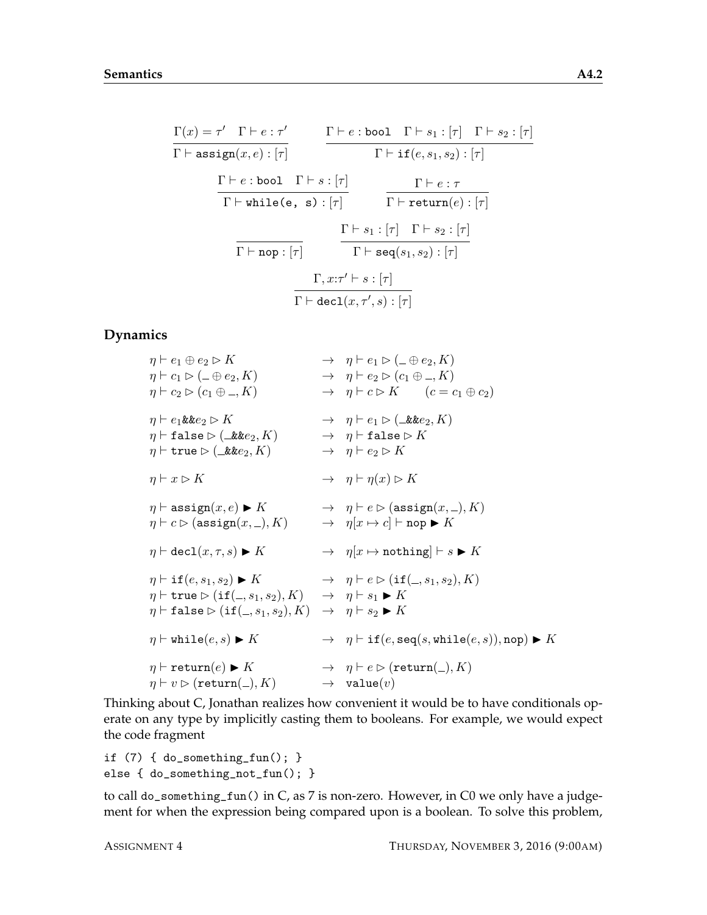$$
\frac{\Gamma(x) = \tau' \quad \Gamma \vdash e : \tau'}{\Gamma \vdash \text{assign}(x, e) : [\tau]} \qquad \frac{\Gamma \vdash e : \text{bool} \quad \Gamma \vdash s_1 : [\tau] \quad \Gamma \vdash s_2 : [\tau]}{\Gamma \vdash \text{if}(e, s_1, s_2) : [\tau]}
$$
\n
$$
\frac{\Gamma \vdash e : \text{bool} \quad \Gamma \vdash s : [\tau]}{\Gamma \vdash \text{while}(e, s) : [\tau]} \qquad \frac{\Gamma \vdash e : \tau}{\Gamma \vdash \text{return}(e) : [\tau]}
$$
\n
$$
\frac{\Gamma \vdash s_1 : [\tau] \quad \Gamma \vdash s_2 : [\tau]}{\Gamma \vdash \text{seq}(s_1, s_2) : [\tau]}
$$
\n
$$
\frac{\Gamma, x : \tau' \vdash s : [\tau]}{\Gamma \vdash \text{decl}(x, \tau', s) : [\tau]}
$$

#### **Dynamics**

 $\eta \vdash e_1 \oplus e_2 \triangleright K \rightarrow \eta \vdash e_1 \triangleright (\bot \oplus e_2, K)$  $\eta \vdash c_1 \triangleright (\bot \oplus e_2, K) \rightarrow \eta \vdash e_2 \triangleright (c_1 \oplus \_, K)$  $\eta \vdash c_2 \triangleright (c_1 \oplus \ldots \oplus K) \longrightarrow \eta \vdash c \triangleright K \qquad (c = c_1 \oplus c_2)$  $\eta \vdash e_1 \& e_2 \triangleright K \rightarrow \eta \vdash e_1 \triangleright (\exists \& e_2, K)$  $\eta \vdash \mathtt{false} \rhd (\bot \mathtt{kk} e_2, K) \longrightarrow \eta \vdash \mathtt{false} \rhd K$  $\eta \vdash \texttt{true} \triangleright (\perp \& ke_2, K) \rightarrow \eta \vdash e_2 \triangleright K$  $\eta \vdash x \rhd K \rightarrow \eta \vdash \eta(x) \rhd K$  $\eta \vdash \texttt{assign}(x, e) \blacktriangleright K \rightarrow \eta \vdash e \triangleright (\texttt{assign}(x, \_), K)$  $\eta \vdash c \triangleright (\text{assign}(x, \_), K) \longrightarrow \eta[x \mapsto c] \vdash \text{nop} \blacktriangleright K$  $\eta \vdash \text{dec1}(x, \tau, s) \blacktriangleright K \longrightarrow \eta[x \mapsto \text{nothing} \mapsto K]$  $\eta \vdash \text{if}(e, s_1, s_2) \blacktriangleright K \rightarrow \eta \vdash e \triangleright (\text{if}(\_, s_1, s_2), K)$  $\eta \vdash$  true  $\triangleright$  (if( -, s<sub>1</sub>, s<sub>2</sub>), K)  $\rightarrow$   $\eta \vdash s_1 \blacktriangleright K$  $\eta \vdash \mathtt{false} \triangleright (\mathtt{if}(\_, s_1, s_2), K) \rightarrow \eta \vdash s_2 \blacktriangleright K$  $\eta \vdash \text{while}(e, s) \blacktriangleright K \rightarrow \eta \vdash \text{if}(e, \text{seq}(s, \text{while}(e, s)), \text{nop}) \blacktriangleright K$  $\eta \vdash \mathtt{return}(e) \blacktriangleright K \rightarrow \eta \vdash e \triangleright (\mathtt{return}(\_,K)$  $\eta \vdash v \rhd (\mathtt{return}(\_, K) \longrightarrow \mathtt{value}(v)$ 

Thinking about C, Jonathan realizes how convenient it would be to have conditionals operate on any type by implicitly casting them to booleans. For example, we would expect the code fragment

```
if (7) { do_something_fun(); }
else { do_something_not_fun(); }
```
to call do\_something\_fun() in  $C$ , as 7 is non-zero. However, in  $C0$  we only have a judgement for when the expression being compared upon is a boolean. To solve this problem,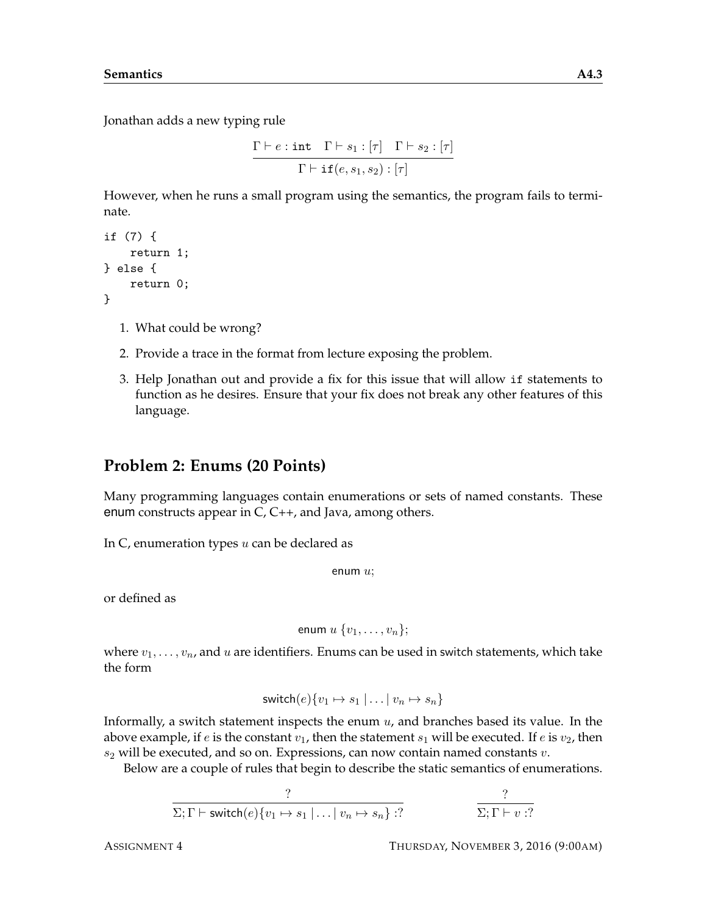Jonathan adds a new typing rule

$$
\frac{\Gamma \vdash e : \text{int} \quad \Gamma \vdash s_1 : [\tau] \quad \Gamma \vdash s_2 : [\tau]}{\Gamma \vdash \text{if}(e, s_1, s_2) : [\tau]}
$$

However, when he runs a small program using the semantics, the program fails to terminate.

```
if (7) {
    return 1;
} else {
    return 0;
}
```
- 1. What could be wrong?
- 2. Provide a trace in the format from lecture exposing the problem.
- 3. Help Jonathan out and provide a fix for this issue that will allow if statements to function as he desires. Ensure that your fix does not break any other features of this language.

## **Problem 2: Enums (20 Points)**

Many programming languages contain enumerations or sets of named constants. These enum constructs appear in C, C++, and Java, among others.

In  $C$ , enumeration types  $u$  can be declared as

```
enum u;
```
or defined as

$$
\text{enum } u \{v_1, \ldots, v_n\};
$$

where  $v_1, \ldots, v_n$ , and u are identifiers. Enums can be used in switch statements, which take the form

$$
switch(e)\{v_1 \mapsto s_1 \mid \ldots \mid v_n \mapsto s_n\}
$$

Informally, a switch statement inspects the enum  $u$ , and branches based its value. In the above example, if e is the constant  $v_1$ , then the statement  $s_1$  will be executed. If e is  $v_2$ , then  $s_2$  will be executed, and so on. Expressions, can now contain named constants  $v$ .

Below are a couple of rules that begin to describe the static semantics of enumerations.

$$
\frac{?}{\Sigma; \Gamma \vdash \mathsf{switch}(e) \{v_1 \mapsto s_1 \mid \dots \mid v_n \mapsto s_n\} : ?} \qquad \qquad \frac{?}{\Sigma; \Gamma \vdash v : ?}
$$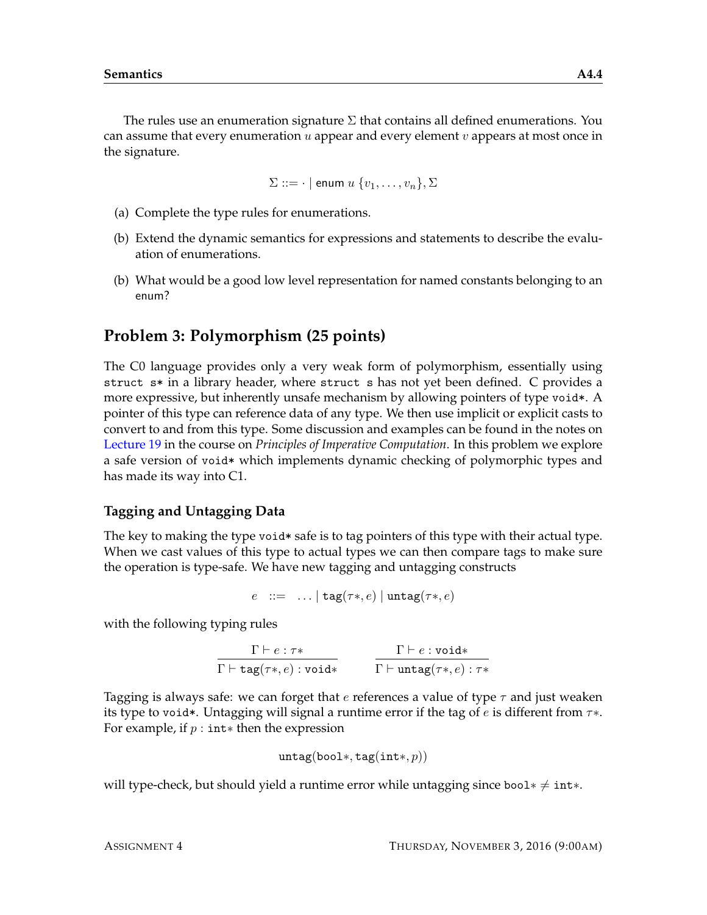The rules use an enumeration signature  $\Sigma$  that contains all defined enumerations. You can assume that every enumeration  $u$  appear and every element  $v$  appears at most once in the signature.

$$
\Sigma ::= \cdot | \text{ enum } u \{v_1, \ldots, v_n\}, \Sigma
$$

- (a) Complete the type rules for enumerations.
- (b) Extend the dynamic semantics for expressions and statements to describe the evaluation of enumerations.
- (b) What would be a good low level representation for named constants belonging to an enum?

## **Problem 3: Polymorphism (25 points)**

The C0 language provides only a very weak form of polymorphism, essentially using struct s\* in a library header, where struct s has not yet been defined. C provides a more expressive, but inherently unsafe mechanism by allowing pointers of type void\*. A pointer of this type can reference data of any type. We then use implicit or explicit casts to convert to and from this type. Some discussion and examples can be found in the notes on [Lecture 19](http://www.cs.cmu.edu/~fp/courses/15122-f12/lectures/19-poly.pdf) in the course on *Principles of Imperative Computation*. In this problem we explore a safe version of void\* which implements dynamic checking of polymorphic types and has made its way into C1.

### **Tagging and Untagging Data**

The key to making the type void\* safe is to tag pointers of this type with their actual type. When we cast values of this type to actual types we can then compare tags to make sure the operation is type-safe. We have new tagging and untagging constructs

$$
e \ ::= \ \ldots \mid \texttt{tag}(\tau*,e) \mid \texttt{untag}(\tau*,e)
$$

with the following typing rules

$$
\cfrac{\Gamma \vdash e : \tau *}{\Gamma \vdash \texttt{tag}(\tau *, e) : \texttt{void}*} \qquad \cfrac{\Gamma \vdash e : \texttt{void}*}{\Gamma \vdash \texttt{untag}(\tau *, e) : \tau *}
$$

Tagging is always safe: we can forget that e references a value of type  $\tau$  and just weaken its type to void\*. Untagging will signal a runtime error if the tag of e is different from  $\tau$ \*. For example, if  $p : int*$  then the expression

$$
\mathtt{untag}(\mathtt{bool*},\mathtt{tag}(\mathtt{int*},p))
$$

will type-check, but should yield a runtime error while untagging since bool∗  $\neq$  int∗.